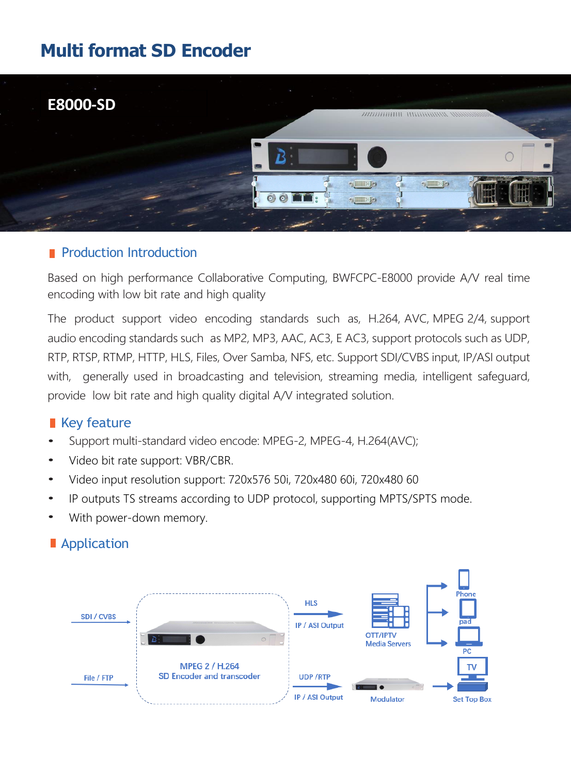# **Multi format SD Encoder**



#### **Production Introduction**

Based on high performance Collaborative Computing, BWFCPC-E8000 provide A/V real time encoding with low bit rate and high quality

The product support video encoding standards such as, H.264, AVC, MPEG 2/4, support audio encoding standards such as MP2, MP3, AAC, AC3, E AC3, support protocols such as UDP, RTP, RTSP, RTMP, HTTP, HLS, Files, Over Samba, NFS, etc. Support SDI/CVBS input, IP/ASI output with, generally used in broadcasting and television, streaming media, intelligent safeguard, provide low bit rate and high quality digital A/V integrated solution.

### Key feature

- Support multi-standard video encode: MPEG-2, MPEG-4, H.264(AVC);
- Video bit rate support: VBR/CBR.
- Video input resolution support: 720x576 50i, 720x480 60i, 720x480 60
- IP outputs TS streams according to UDP protocol, supporting MPTS/SPTS mode.
- With power-down memory.



### **Application**